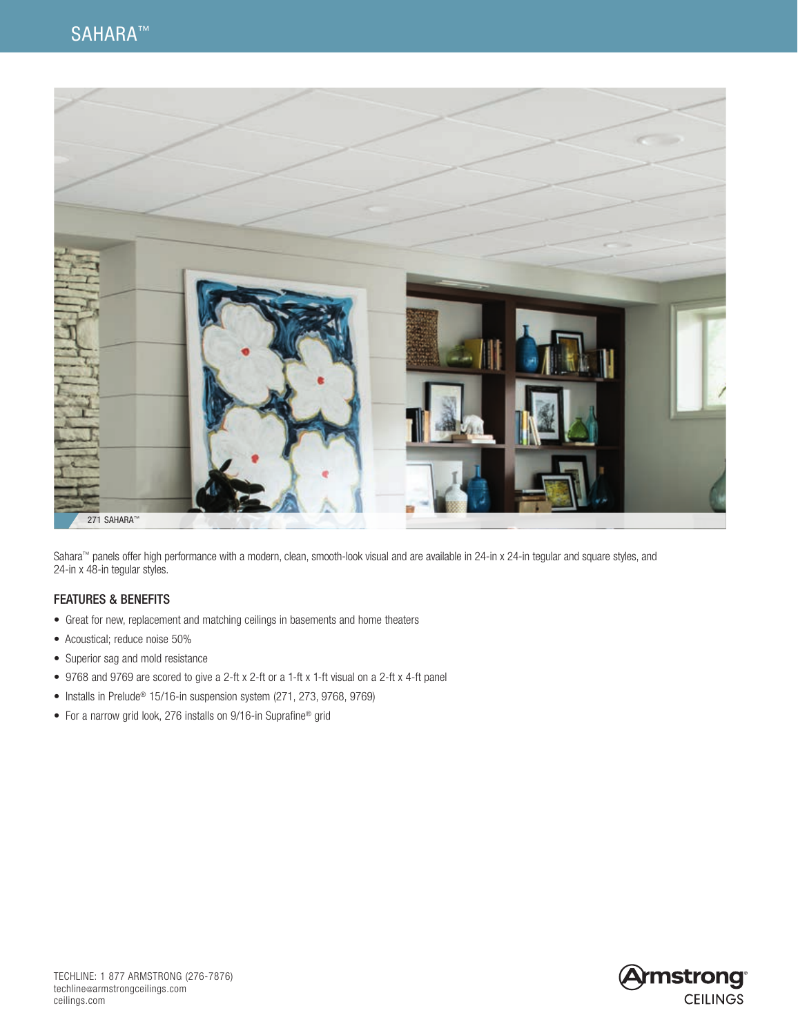

Sahara™ panels offer high performance with a modern, clean, smooth-look visual and are available in 24-in x 24-in tegular and square styles, and 24-in x 48-in tegular styles.

## FEATURES & BENEFITS

- Great for new, replacement and matching ceilings in basements and home theaters
- Acoustical; reduce noise 50%
- Superior sag and mold resistance
- 9768 and 9769 are scored to give a 2-ft x 2-ft or a 1-ft x 1-ft visual on a 2-ft x 4-ft panel
- Installs in Prelude® 15/16-in suspension system (271, 273, 9768, 9769)
- For a narrow grid look, 276 installs on 9/16-in Suprafine® grid